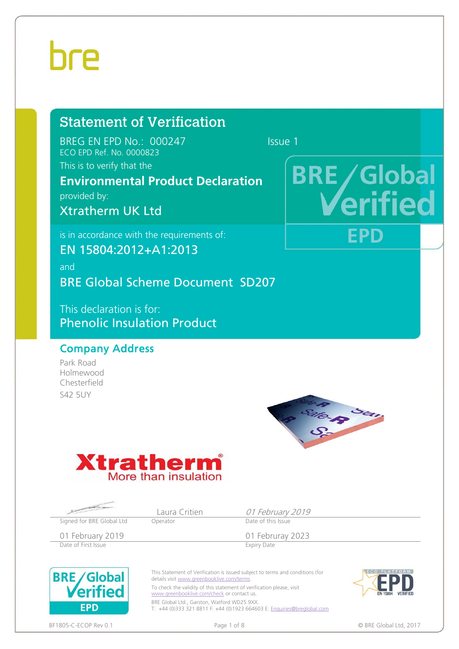### Statement of Verification

BREG EN EPD No.: 000247 Issue 1 ECO EPD Ref. No. 0000823

**BRE/Global** 

**EPD** 

erified

This is to verify that the

#### **Environmental Product Declaration**

provided by:

Xtratherm UK Ltd

is in accordance with the requirements of:

EN 15804:2012+A1:2013

and BRE Global Scheme Document SD207

This declaration is for: Phenolic Insulation Product

#### Company Address

Park Road Holmewood Chesterfield **S42 5UY** 





|                                 | Laura Critien                                                                                                                           | 01 February 2019                                                                                                                                                                                                                  |                             |
|---------------------------------|-----------------------------------------------------------------------------------------------------------------------------------------|-----------------------------------------------------------------------------------------------------------------------------------------------------------------------------------------------------------------------------------|-----------------------------|
| Signed for BRE Global Ltd       | Operator                                                                                                                                | Date of this Issue                                                                                                                                                                                                                |                             |
| 01 February 2019                |                                                                                                                                         | 01 Februray 2023                                                                                                                                                                                                                  |                             |
| Date of First Issue             |                                                                                                                                         | <b>Expiry Date</b>                                                                                                                                                                                                                |                             |
| <b>BRE</b> Global<br><b>EPD</b> | details visit www.greenbooklive.com/terms.<br>www.greenbooklive.com/check or contact us.<br>BRE Global Ltd., Garston, Watford WD25 9XX. | This Statement of Verification is issued subject to terms and conditions (for<br>To check the validity of this statement of verification please, visit<br>T: +44 (0)333 321 8811 F: +44 (0)1923 664603 E: Enquiries@breglobal.com | <b>FN 15804</b><br>VERIFIED |

BF1805-C-ECOP Rev 0.1 **Page 1 of 8** Page 1 of 8 **Page 1 of 8 © BRE Global Ltd**, 2017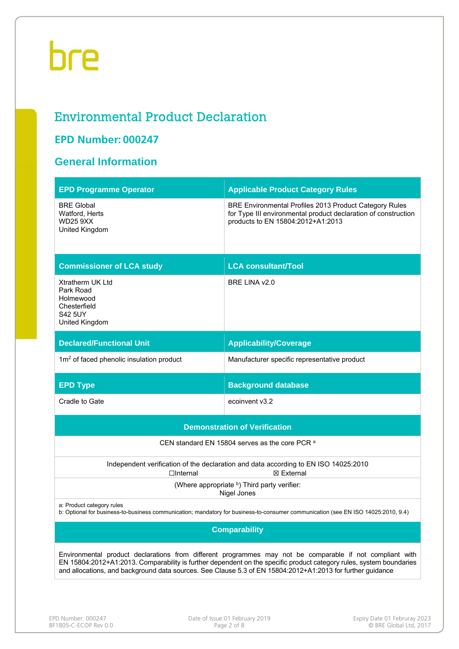#### Environmental Product Declaration

#### **EPD Number: 000247**

#### **General Information**

| <b>EPD Programme Operator</b>                                                                                                                                                                                                                                                                                                                 | <b>Applicable Product Category Rules</b>                                                                                                                      |  |  |  |  |  |  |
|-----------------------------------------------------------------------------------------------------------------------------------------------------------------------------------------------------------------------------------------------------------------------------------------------------------------------------------------------|---------------------------------------------------------------------------------------------------------------------------------------------------------------|--|--|--|--|--|--|
| <b>BRE Global</b><br>Watford, Herts<br><b>WD25 9XX</b><br>United Kingdom                                                                                                                                                                                                                                                                      | BRE Environmental Profiles 2013 Product Category Rules<br>for Type III environmental product declaration of construction<br>products to EN 15804:2012+A1:2013 |  |  |  |  |  |  |
| <b>Commissioner of LCA study</b>                                                                                                                                                                                                                                                                                                              | <b>LCA consultant/Tool</b>                                                                                                                                    |  |  |  |  |  |  |
| Xtratherm UK Ltd<br>Park Road<br>Holmewood<br>Chesterfield<br><b>S42 5UY</b><br>United Kingdom                                                                                                                                                                                                                                                | BRE LINA v2.0                                                                                                                                                 |  |  |  |  |  |  |
| <b>Declared/Functional Unit</b>                                                                                                                                                                                                                                                                                                               | <b>Applicability/Coverage</b>                                                                                                                                 |  |  |  |  |  |  |
| 1m <sup>2</sup> of faced phenolic insulation product                                                                                                                                                                                                                                                                                          | Manufacturer specific representative product                                                                                                                  |  |  |  |  |  |  |
| <b>EPD Type</b>                                                                                                                                                                                                                                                                                                                               | <b>Background database</b>                                                                                                                                    |  |  |  |  |  |  |
| Cradle to Gate                                                                                                                                                                                                                                                                                                                                | ecoinvent v3.2                                                                                                                                                |  |  |  |  |  |  |
|                                                                                                                                                                                                                                                                                                                                               | <b>Demonstration of Verification</b>                                                                                                                          |  |  |  |  |  |  |
|                                                                                                                                                                                                                                                                                                                                               | CEN standard EN 15804 serves as the core PCR a                                                                                                                |  |  |  |  |  |  |
| $\Box$ Internal                                                                                                                                                                                                                                                                                                                               | Independent verification of the declaration and data according to EN ISO 14025:2010<br>⊠ External                                                             |  |  |  |  |  |  |
|                                                                                                                                                                                                                                                                                                                                               | (Where appropriate b) Third party verifier:<br>Nigel Jones                                                                                                    |  |  |  |  |  |  |
| a: Product category rules<br>b: Optional for business-to-business communication; mandatory for business-to-consumer communication (see EN ISO 14025:2010, 9.4)                                                                                                                                                                                |                                                                                                                                                               |  |  |  |  |  |  |
| <b>Comparability</b>                                                                                                                                                                                                                                                                                                                          |                                                                                                                                                               |  |  |  |  |  |  |
| Environmental product declarations from different programmes may not be comparable if not compliant with<br>EN 15804:2012+A1:2013. Comparability is further dependent on the specific product category rules, system boundaries<br>and allocations, and background data sources. See Clause 5.3 of EN 15804:2012+A1:2013 for further guidance |                                                                                                                                                               |  |  |  |  |  |  |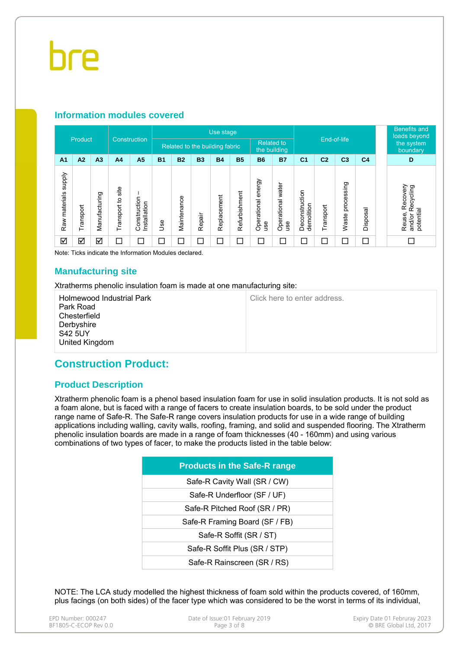#### **Information modules covered**

|                                  |           |                |                      |                              |                          | Use stage<br>End-of-life       |           |             |                          |                              |                          | <b>Benefits and</b><br>loads beyond |                |                     |                |  |                                                        |
|----------------------------------|-----------|----------------|----------------------|------------------------------|--------------------------|--------------------------------|-----------|-------------|--------------------------|------------------------------|--------------------------|-------------------------------------|----------------|---------------------|----------------|--|--------------------------------------------------------|
|                                  | Product   |                |                      | Construction                 |                          | Related to the building fabric |           |             |                          | <b>Related to</b>            | the building             |                                     |                |                     |                |  | the system<br>boundary                                 |
| A <sub>1</sub>                   | A2        | A <sub>3</sub> | A <sub>4</sub>       | A <sub>5</sub>               | <b>B1</b>                | <b>B2</b>                      | <b>B3</b> | <b>B4</b>   | <b>B5</b>                | <b>B6</b>                    | <b>B7</b>                | C <sub>1</sub>                      | C <sub>2</sub> | C <sub>3</sub>      | C <sub>4</sub> |  | D                                                      |
| <b>Addns</b><br>materials<br>Raw | Transport | Manufacturing  | site<br>Transport to | Construction<br>Installation | <b>Jse</b>               | Maintenance                    | Repair    | Replacement | Refurbishment            | energy<br>Operational<br>use | Operational water<br>use | Deconstruction<br>demolition        | Transport      | processing<br>Waste | Disposal       |  | Recovery<br>Recycling<br>potential<br>Reuse,<br>and/or |
| ☑                                | ☑         | ☑              | Ξ                    | ⊏                            | $\overline{\phantom{a}}$ | □                              | $\Box$    | □           | $\overline{\phantom{0}}$ | □                            | Г                        | Г                                   | ⊏              | Γ                   | $\Box$         |  |                                                        |

Note: Ticks indicate the Information Modules declared.

#### **Manufacturing site**

Xtratherms phenolic insulation foam is made at one manufacturing site:

Holmewood Industrial Park Park Road **Chesterfield Derbyshire** S42 5UY United Kingdom

Click here to enter address.

#### **Construction Product:**

#### **Product Description**

Xtratherm phenolic foam is a phenol based insulation foam for use in solid insulation products. It is not sold as a foam alone, but is faced with a range of facers to create insulation boards, to be sold under the product range name of Safe-R. The Safe-R range covers insulation products for use in a wide range of building applications including walling, cavity walls, roofing, framing, and solid and suspended flooring. The Xtratherm phenolic insulation boards are made in a range of foam thicknesses (40 - 160mm) and using various combinations of two types of facer, to make the products listed in the table below:

NOTE: The LCA study modelled the highest thickness of foam sold within the products covered, of 160mm, plus facings (on both sides) of the facer type which was considered to be the worst in terms of its individual,

| EPD Number: 000247    | Date of Issue:01 February 2019 |  |
|-----------------------|--------------------------------|--|
| BF1805-C-ECOP Rev 0.0 | Page 3 of 8                    |  |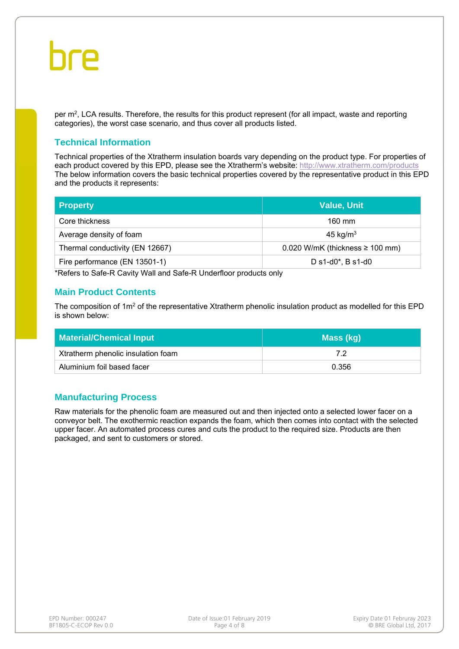per  $m^2$ , LCA results. Therefore, the results for this product represent (for all impact, waste and reporting categories), the worst case scenario, and thus cover all products listed.

#### **Technical Information**

Technical properties of the Xtratherm insulation boards vary depending on the product type. For properties of each product covered by this EPD, please see the Xtratherm's website: http://www.xtratherm.com/products The below information covers the basic technical properties covered by the representative product in this EPD and the products it represents:

| <b>Property</b>                 | <b>Value, Unit</b>                     |
|---------------------------------|----------------------------------------|
| Core thickness                  | $160$ mm                               |
| Average density of foam         | 45 kg/ $m3$                            |
| Thermal conductivity (EN 12667) | $0.020$ W/mK (thickness $\geq 100$ mm) |
| Fire performance (EN 13501-1)   | D s1-d0*, B s1-d0                      |

\*Refers to Safe-R Cavity Wall and Safe-R Underfloor products only

#### **Main Product Contents**

The composition of  $1m^2$  of the representative Xtratherm phenolic insulation product as modelled for this EPD is shown below:

| <b>Material/Chemical Input</b>     | Mass (kg) |  |  |  |  |
|------------------------------------|-----------|--|--|--|--|
| Xtratherm phenolic insulation foam | 79        |  |  |  |  |
| Aluminium foil based facer         | 0.356     |  |  |  |  |

#### **Manufacturing Process**

Raw materials for the phenolic foam are measured out and then injected onto a selected lower facer on a conveyor belt. The exothermic reaction expands the foam, which then comes into contact with the selected upper facer. An automated process cures and cuts the product to the required size. Products are then packaged, and sent to customers or stored.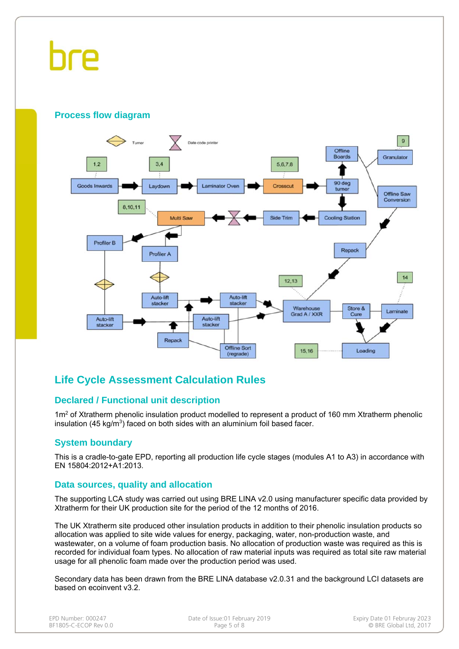## hre

#### **Process flow diagram**



#### **Life Cycle Assessment Calculation Rules**

#### **Declared / Functional unit description**

 $1m<sup>2</sup>$  of Xtratherm phenolic insulation product modelled to represent a product of 160 mm Xtratherm phenolic insulation (45 kg/m<sup>3</sup>) faced on both sides with an aluminium foil based facer.

#### **System boundary**

This is a cradle-to-gate EPD, reporting all production life cycle stages (modules A1 to A3) in accordance with EN 15804:2012+A1:2013.

#### **Data sources, quality and allocation**

The supporting LCA study was carried out using BRE LINA v2.0 using manufacturer specific data provided by Xtratherm for their UK production site for the period of the 12 months of 2016.

The UK Xtratherm site produced other insulation products in addition to their phenolic insulation products so allocation was applied to site wide values for energy, packaging, water, non-production waste, and wastewater, on a volume of foam production basis. No allocation of production waste was required as this is recorded for individual foam types. No allocation of raw material inputs was required as total site raw material usage for all phenolic foam made over the production period was used.

Secondary data has been drawn from the BRE LINA database v2.0.31 and the background LCI datasets are based on ecoinvent v3.2.

| EPD Number: 000247    |  |  |  |  |  |  |
|-----------------------|--|--|--|--|--|--|
| BF1805-C-ECOP Rev 0.0 |  |  |  |  |  |  |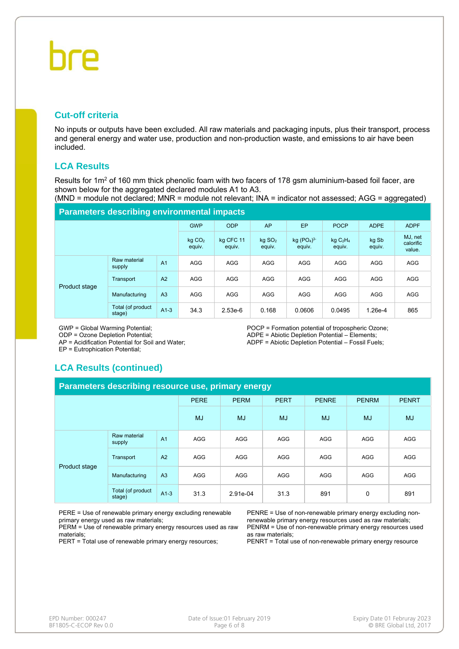#### **Cut-off criteria**

No inputs or outputs have been excluded. All raw materials and packaging inputs, plus their transport, process and general energy and water use, production and non-production waste, and emissions to air have been included.

#### **LCA Results**

Results for 1m<sup>2</sup> of 160 mm thick phenolic foam with two facers of 178 gsm aluminium-based foil facer, are shown below for the aggregated declared modules A1 to A3.

(MND = module not declared; MNR = module not relevant; INA = indicator not assessed; AGG = aggregated)

#### **Parameters describing environmental impacts**

|               |                             |                | <b>GWP</b>                   | <b>ODP</b>          | AP                             | EP                     | <b>POCP</b>                               | <b>ADPE</b>     | <b>ADPF</b>                    |
|---------------|-----------------------------|----------------|------------------------------|---------------------|--------------------------------|------------------------|-------------------------------------------|-----------------|--------------------------------|
|               |                             |                | kg CO <sub>2</sub><br>equiv. | kg CFC 11<br>equiv. | $kq$ SO <sub>2</sub><br>equiv. | $kg (PO4)3-$<br>equiv. | kgC <sub>2</sub> H <sub>4</sub><br>equiv. | kg Sb<br>equiv. | MJ, net<br>calorific<br>value. |
| Product stage | Raw material<br>supply      | A <sub>1</sub> | <b>AGG</b>                   | <b>AGG</b>          | <b>AGG</b>                     | <b>AGG</b>             | <b>AGG</b>                                | <b>AGG</b>      | <b>AGG</b>                     |
|               | Transport                   | A <sub>2</sub> | <b>AGG</b>                   | <b>AGG</b>          | <b>AGG</b>                     | <b>AGG</b>             | <b>AGG</b>                                | <b>AGG</b>      | <b>AGG</b>                     |
|               | Manufacturing               | A <sub>3</sub> | <b>AGG</b>                   | <b>AGG</b>          | <b>AGG</b>                     | <b>AGG</b>             | <b>AGG</b>                                | <b>AGG</b>      | <b>AGG</b>                     |
|               | Total (of product<br>stage) | $A1-3$         | 34.3                         | $2.53e-6$           | 0.168                          | 0.0606                 | 0.0495                                    | 1.26e-4         | 865                            |

GWP = Global Warming Potential;

ODP = Ozone Depletion Potential;

AP = Acidification Potential for Soil and Water;

EP = Eutrophication Potential;

POCP = Formation potential of tropospheric Ozone; ADPE = Abiotic Depletion Potential – Elements; ADPF = Abiotic Depletion Potential – Fossil Fuels;

#### **LCA Results (continued)**

| Parameters describing resource use, primary energy |                             |                |             |             |             |              |              |              |  |
|----------------------------------------------------|-----------------------------|----------------|-------------|-------------|-------------|--------------|--------------|--------------|--|
|                                                    |                             |                | <b>PERE</b> | <b>PERM</b> | <b>PERT</b> | <b>PENRE</b> | <b>PENRM</b> | <b>PENRT</b> |  |
|                                                    |                             |                | <b>MJ</b>   | MJ          | <b>MJ</b>   | <b>MJ</b>    | <b>MJ</b>    | <b>MJ</b>    |  |
| Product stage                                      | Raw material<br>supply      | A <sub>1</sub> | <b>AGG</b>  | <b>AGG</b>  | AGG         | <b>AGG</b>   | AGG          | <b>AGG</b>   |  |
|                                                    | Transport                   | A2             | <b>AGG</b>  | <b>AGG</b>  | <b>AGG</b>  | <b>AGG</b>   | AGG          | AGG          |  |
|                                                    | Manufacturing               | A3             | <b>AGG</b>  | <b>AGG</b>  | AGG         | <b>AGG</b>   | AGG          | <b>AGG</b>   |  |
|                                                    | Total (of product<br>stage) | $A1-3$         | 31.3        | 2.91e-04    | 31.3        | 891          | 0            | 891          |  |

PERE = Use of renewable primary energy excluding renewable primary energy used as raw materials;

PERM = Use of renewable primary energy resources used as raw materials;

PERT = Total use of renewable primary energy resources;

PENRE = Use of non-renewable primary energy excluding nonrenewable primary energy resources used as raw materials; PENRM = Use of non-renewable primary energy resources used as raw materials;

PENRT = Total use of non-renewable primary energy resource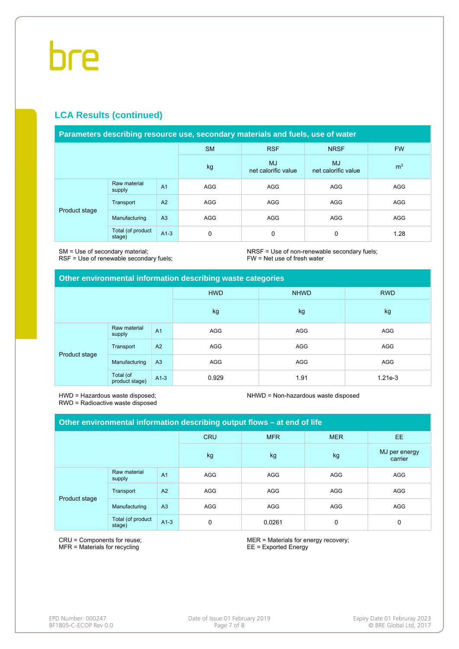#### **LCA Results (continued)**

#### **Parameters describing resource use, secondary materials and fuels, use of water**

|               |                             |                | <b>SM</b>  | <b>RSF</b>                       | <b>NRSF</b>                      | <b>FW</b>      |
|---------------|-----------------------------|----------------|------------|----------------------------------|----------------------------------|----------------|
|               |                             |                | kg         | <b>MJ</b><br>net calorific value | <b>MJ</b><br>net calorific value | m <sup>3</sup> |
| Product stage | Raw material<br>supply      | A <sub>1</sub> | <b>AGG</b> | AGG                              | <b>AGG</b>                       | AGG            |
|               | Transport                   | A2             | <b>AGG</b> | AGG                              | <b>AGG</b>                       | <b>AGG</b>     |
|               | Manufacturing               | A <sub>3</sub> | <b>AGG</b> | AGG                              | <b>AGG</b>                       | <b>AGG</b>     |
|               | Total (of product<br>stage) | $A1-3$         | 0          | 0                                | 0                                | 1.28           |

SM = Use of secondary material; RSF = Use of renewable secondary fuels; NRSF = Use of non-renewable secondary fuels; FW = Net use of fresh water

#### **Other environmental information describing waste categories**

|               |                             |                | <b>HWD</b> | <b>NHWD</b> | <b>RWD</b> |
|---------------|-----------------------------|----------------|------------|-------------|------------|
|               |                             |                | kg         | kg          | kg         |
| Product stage | Raw material<br>supply      | A <sub>1</sub> | AGG        | AGG         | AGG        |
|               | Transport                   | A2             | AGG        | AGG         | AGG        |
|               | Manufacturing               | A3             | AGG        | AGG         | AGG        |
|               | Total (of<br>product stage) | $A1-3$         | 0.929      | 1.91        | $1.21e-3$  |

HWD = Hazardous waste disposed; RWD = Radioactive waste disposed NHWD = Non-hazardous waste disposed

| Other environmental information describing output flows – at end of life |                             |                |            |            |            |                          |
|--------------------------------------------------------------------------|-----------------------------|----------------|------------|------------|------------|--------------------------|
|                                                                          |                             |                | <b>CRU</b> | <b>MFR</b> | <b>MER</b> | EE.                      |
|                                                                          |                             |                | kg         | kg         | kg         | MJ per energy<br>carrier |
| Product stage                                                            | Raw material<br>supply      | A <sub>1</sub> | AGG        | AGG        | <b>AGG</b> | <b>AGG</b>               |
|                                                                          | Transport                   | A <sub>2</sub> | AGG        | AGG        | <b>AGG</b> | <b>AGG</b>               |
|                                                                          | Manufacturing               | A <sub>3</sub> | AGG        | AGG        | <b>AGG</b> | <b>AGG</b>               |
|                                                                          | Total (of product<br>stage) | $A1-3$         | 0          | 0.0261     | 0          | 0                        |

CRU = Components for reuse; MFR = Materials for recycling

MER = Materials for energy recovery; EE = Exported Energy